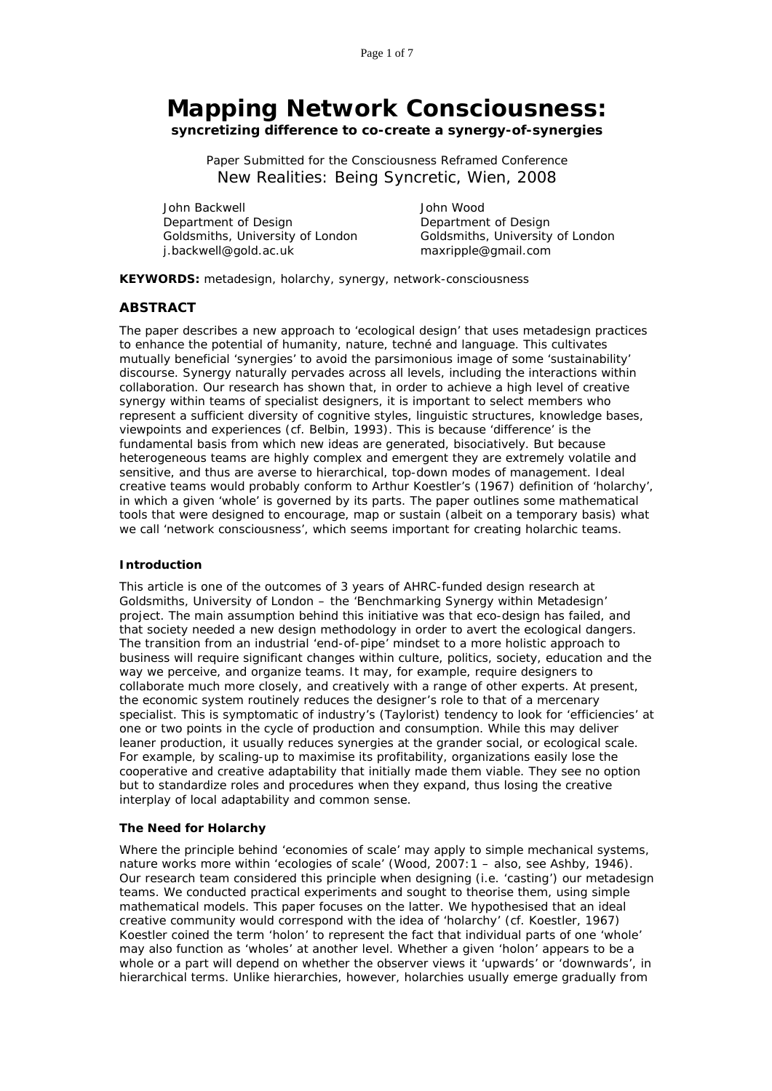# **Mapping Network Consciousness:**

**syncretizing difference to co-create a synergy-of-synergies** 

Paper Submitted for the Consciousness Reframed Conference New Realities: Being Syncretic, Wien, 2008

John Backwell John Wood Department of Design Department of Design Goldsmiths, University of London Goldsmiths, University of London j.backwell@gold.ac.uk maxripple@gmail.com

*KEYWORDS: metadesign, holarchy, synergy, network-consciousness* 

## **ABSTRACT**

*The paper describes a new approach to 'ecological design' that uses metadesign practices to enhance the potential of humanity, nature, techné and language. This cultivates mutually beneficial 'synergies' to avoid the parsimonious image of some 'sustainability' discourse. Synergy naturally pervades across all levels, including the interactions within collaboration. Our research has shown that, in order to achieve a high level of creative synergy within teams of specialist designers, it is important to select members who represent a sufficient diversity of cognitive styles, linguistic structures, knowledge bases, viewpoints and experiences (cf. Belbin, 1993). This is because 'difference' is the fundamental basis from which new ideas are generated, bisociatively. But because heterogeneous teams are highly complex and emergent they are extremely volatile and sensitive, and thus are averse to hierarchical, top-down modes of management. Ideal creative teams would probably conform to Arthur Koestler's (1967) definition of 'holarchy', in which a given 'whole' is governed by its parts. The paper outlines some mathematical tools that were designed to encourage, map or sustain (albeit on a temporary basis) what we call 'network consciousness', which seems important for creating holarchic teams.* 

## **Introduction**

This article is one of the outcomes of 3 years of AHRC-funded design research at Goldsmiths, University of London – the 'Benchmarking Synergy within Metadesign' project. The main assumption behind this initiative was that eco-design has failed, and that society needed a new design methodology in order to avert the ecological dangers. The transition from an industrial 'end-of-pipe' mindset to a more holistic approach to business will require significant changes within culture, politics, society, education and the way we perceive, and organize teams. It may, for example, require designers to collaborate much more closely, and creatively with a range of other experts. At present, the economic system routinely reduces the designer's role to that of a mercenary specialist. This is symptomatic of industry's (Taylorist) tendency to look for 'efficiencies' at one or two points in the cycle of production and consumption. While this may deliver leaner production, it usually reduces synergies at the grander social, or ecological scale. For example, by scaling-up to maximise its profitability, organizations easily lose the cooperative and creative adaptability that initially made them viable. They see no option but to standardize roles and procedures when they expand, thus losing the creative interplay of local adaptability and common sense.

#### **The Need for Holarchy**

Where the principle behind 'economies of scale' may apply to simple mechanical systems, nature works more within 'ecologies of scale' (Wood, 2007:1 – also, see Ashby, 1946). Our research team considered this principle when designing (i.e. 'casting') our metadesign teams. We conducted practical experiments and sought to theorise them, using simple mathematical models. This paper focuses on the latter. We hypothesised that an ideal creative community would correspond with the idea of 'holarchy' (cf. Koestler, 1967) Koestler coined the term 'holon' to represent the fact that individual parts of one 'whole' may also function as 'wholes' at another level. Whether a given 'holon' appears to be a whole or a part will depend on whether the observer views it 'upwards' or 'downwards', in hierarchical terms. Unlike hierarchies, however, holarchies usually emerge gradually from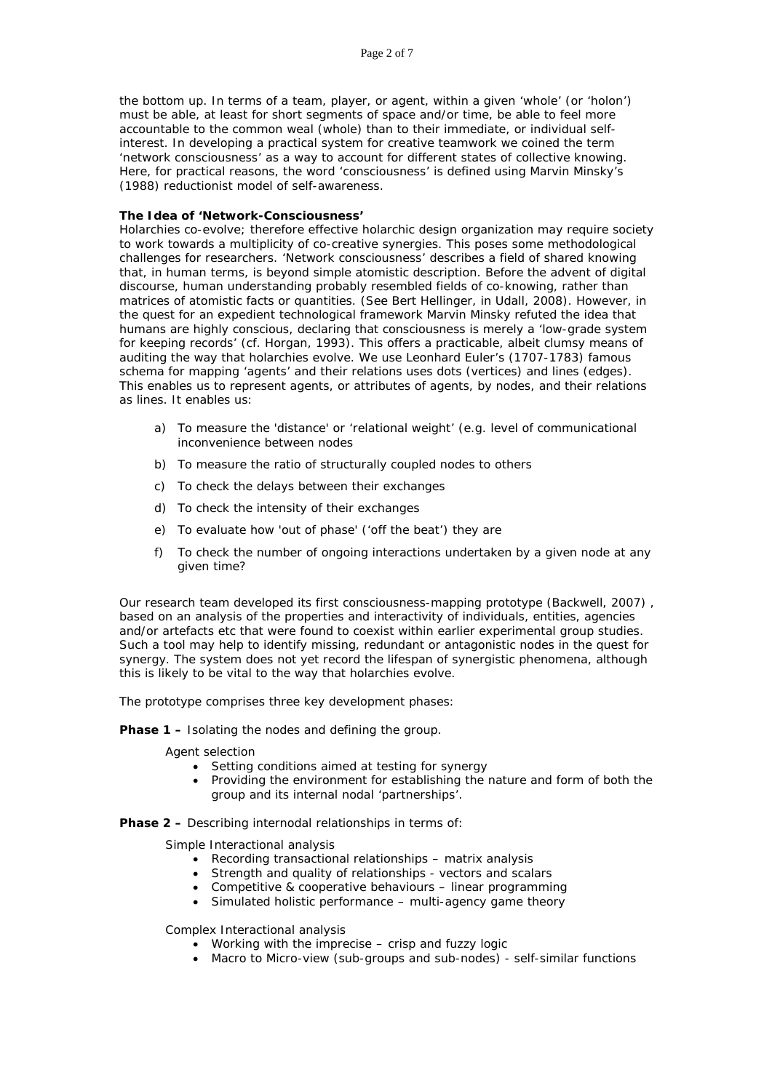the bottom up. In terms of a team, player, or agent, within a given 'whole' (or 'holon') must be able, at least for short segments of space and/or time, be able to feel more accountable to the common weal (whole) than to their immediate, or individual selfinterest. In developing a practical system for creative teamwork we coined the term 'network consciousness' as a way to account for different states of collective knowing. Here, for practical reasons, the word 'consciousness' is defined using Marvin Minsky's (1988) reductionist model of self-awareness.

#### **The Idea of 'Network-Consciousness'**

Holarchies co-evolve; therefore effective holarchic design organization may require society to work towards a multiplicity of co-creative synergies. This poses some methodological challenges for researchers. 'Network consciousness' describes a field of shared knowing that, in human terms, is beyond simple atomistic description. Before the advent of digital discourse, human understanding probably resembled fields of co-knowing, rather than matrices of atomistic facts or quantities. (See Bert Hellinger, in Udall, 2008). However, in the quest for an expedient technological framework Marvin Minsky refuted the idea that humans are highly conscious, declaring that consciousness is merely a 'low-grade system for keeping records' (cf. Horgan, 1993). This offers a practicable, albeit clumsy means of auditing the way that holarchies evolve. We use Leonhard Euler's (1707-1783) famous schema for mapping 'agents' and their relations uses dots (vertices) and lines (edges). This enables us to represent agents, or attributes of agents, by nodes, and their relations as lines. It enables us:

- a) To measure the 'distance' or 'relational weight' (e.g. level of communicational inconvenience between nodes
- b) To measure the ratio of structurally coupled nodes to others
- c) To check the delays between their exchanges
- d) To check the intensity of their exchanges
- e) To evaluate how 'out of phase' ('off the beat') they are
- f) To check the number of ongoing interactions undertaken by a given node at any given time?

Our research team developed its first consciousness-mapping prototype (Backwell, 2007) , based on an analysis of the properties and interactivity of individuals, entities, agencies and/or artefacts etc that were found to coexist within earlier experimental group studies. Such a tool may help to identify missing, redundant or antagonistic nodes in the quest for synergy. The system does not yet record the lifespan of synergistic phenomena, although this is likely to be vital to the way that holarchies evolve.

The prototype comprises three key development phases:

**Phase 1 –** Isolating the nodes and defining the group.

*Agent selection*

- Setting conditions aimed at testing for synergy
- Providing the environment for establishing the nature and form of both the group and its internal nodal 'partnerships'.

**Phase 2 –** Describing internodal relationships in terms of:

*Simple Interactional analysis* 

- Recording transactional relationships *matrix analysis*
- Strength and quality of relationships *vectors and scalars*
- Competitive & cooperative behaviours *linear programming*
- Simulated holistic performance *multi-agency game theory*

*Complex Interactional analysis*

- Working with the imprecise *crisp and fuzzy logic*
- Macro to Micro-view (sub-groups and sub-nodes) *self-similar functions*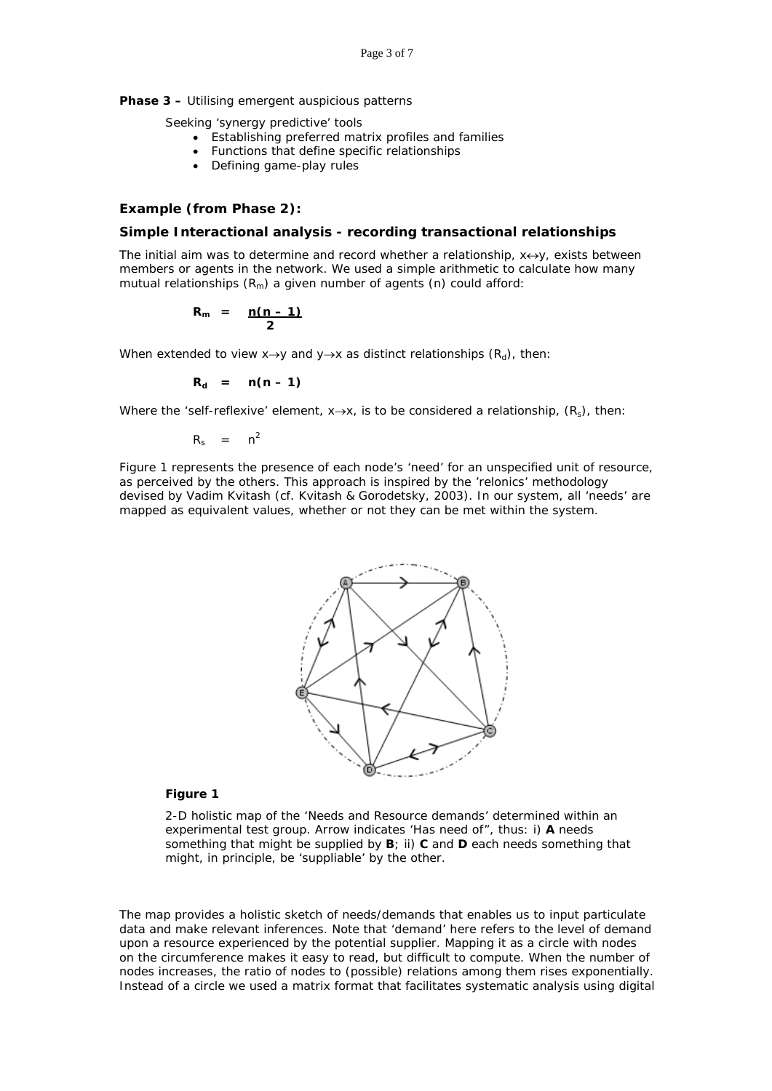#### **Phase 3 –** Utilising emergent auspicious patterns

*Seeking 'synergy predictive' tools* 

- Establishing preferred matrix profiles and families
- Functions that define specific relationships
- Defining game-play rules

# **Example (from Phase 2):**

## **Simple Interactional analysis - recording transactional relationships**

The initial aim was to determine and record whether a relationship,  $x \leftrightarrow y$ , exists between members or agents in the network. We used a simple arithmetic to calculate how many mutual relationships  $(R_m)$  a given number of agents (n) could afford:

$$
R_m = \frac{n(n-1)}{2}
$$

When extended to view  $x \rightarrow y$  and  $y \rightarrow x$  as distinct relationships  $(R_d)$ , then:

$$
R_d = n(n-1)
$$

Where the 'self-reflexive' element,  $x \rightarrow x$ , is to be considered a relationship,  $(R_s)$ , then:

$$
R_s = n^2
$$

Figure 1 represents the presence of each node's 'need' for an unspecified unit of resource, as perceived by the others. This approach is inspired by the 'relonics' methodology devised by Vadim Kvitash (cf. Kvitash & Gorodetsky, 2003). In our system, all 'needs' are mapped as equivalent values, whether or not they can be met within the system.



#### **Figure 1**

2-D holistic map of the '*Needs and Resource demands*' determined within an experimental test group. Arrow indicates 'Has need of", thus: i) **A** needs something that might be supplied by **B**; ii) **C** and **D** each needs something that might, in principle, be 'suppliable' by the other.

The map provides a holistic sketch of needs/demands that enables us to input particulate data and make relevant inferences. Note that 'demand' here refers to the level of demand upon a resource experienced by the potential supplier. Mapping it as a circle with nodes on the circumference makes it easy to read, but difficult to compute. When the number of nodes increases, the ratio of nodes to (possible) relations among them rises exponentially. Instead of a circle we used a matrix format that facilitates systematic analysis using digital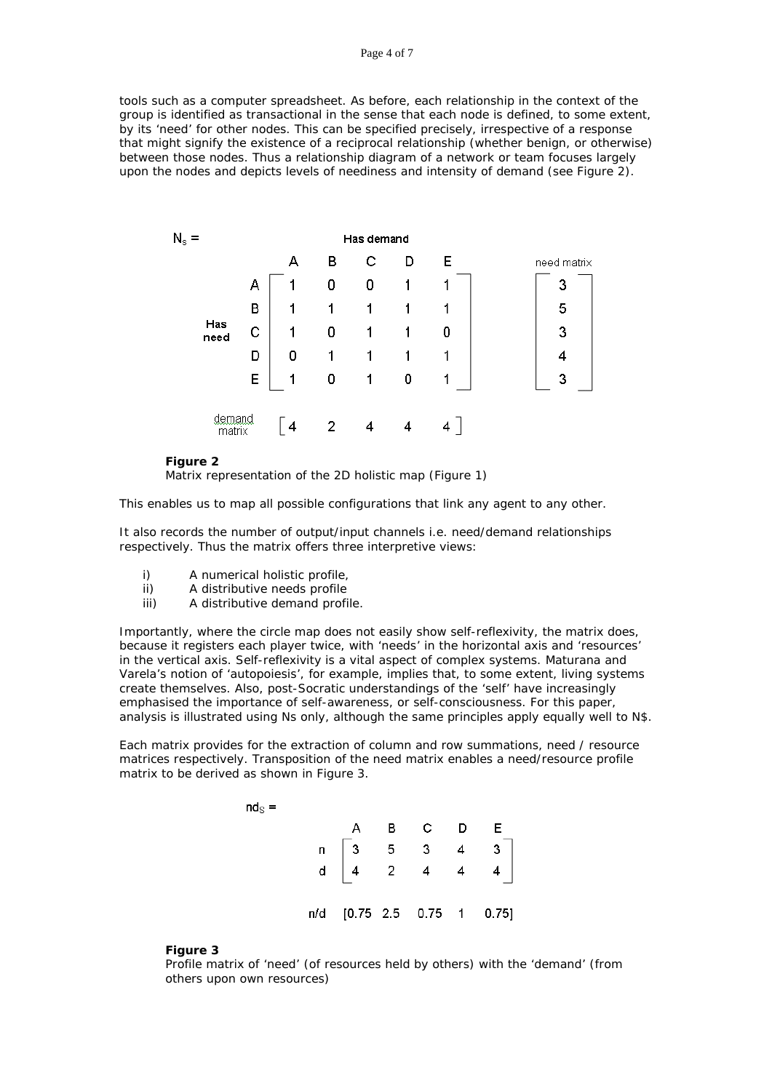#### Page 4 of 7

tools such as a computer spreadsheet. As before, each relationship in the context of the group is identified as transactional in the sense that each node is defined, to some extent, by its 'need' for other nodes. This can be specified precisely, irrespective of a response that might signify the existence of a reciprocal relationship (whether benign, or otherwise) between those nodes. Thus a relationship diagram of a network or team focuses largely upon the nodes and depicts levels of neediness and intensity of demand (see Figure 2).



#### **Figure 2**

Matrix representation of the 2D holistic map (Figure 1)

This enables us to map all possible configurations that link any agent to any other.

It also records the number of output/input channels i.e. need/demand relationships respectively. Thus the matrix offers three interpretive views:

- i) A numerical holistic profile,
- ii) A distributive needs profile
- iii) A distributive demand profile.

Importantly, where the circle map does not easily show self-reflexivity, the matrix does, because it registers each player twice, with 'needs' in the horizontal axis and 'resources' in the vertical axis. Self-reflexivity is a vital aspect of complex systems. Maturana and Varela's notion of 'autopoiesis', for example, implies that, to some extent, living systems create themselves. Also, post-Socratic understandings of the 'self' have increasingly emphasised the importance of self-awareness, or self-consciousness. For this paper, analysis is illustrated using Ns only, although the same principles apply equally well to N\$.

Each matrix provides for the extraction of column and row summations, need / resource matrices respectively. Transposition of the *need* matrix enables a need/resource profile matrix to be derived as shown in Figure 3.

| $ndS =$ |  |  |                                                                                       |  |
|---------|--|--|---------------------------------------------------------------------------------------|--|
|         |  |  |                                                                                       |  |
|         |  |  | A B C D E<br>n $\begin{bmatrix} 3 & 5 & 3 & 4 & 3 \\ 4 & 2 & 4 & 4 & 4 \end{bmatrix}$ |  |
|         |  |  |                                                                                       |  |
|         |  |  |                                                                                       |  |
|         |  |  | n/d [0.75 2.5 0.75 1 0.75]                                                            |  |

#### **Figure 3**

Profile matrix of 'need' (of resources held by others) with the 'demand' (from others upon own resources)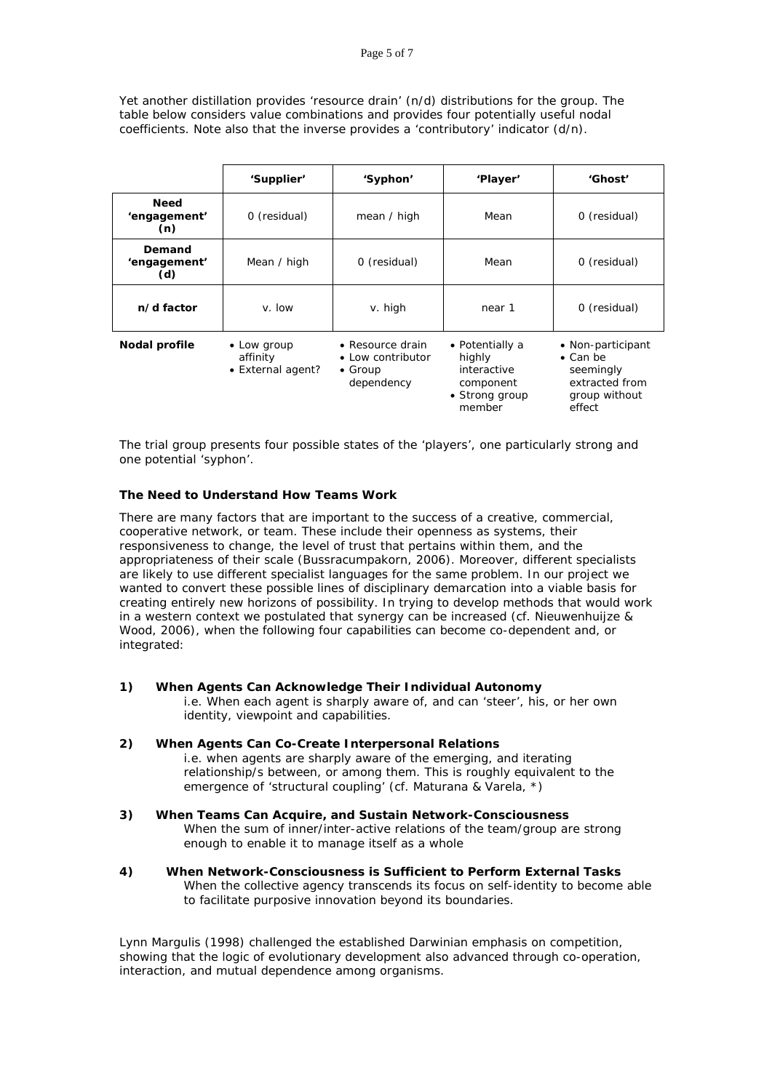Yet another distillation provides 'resource drain' (n/d) distributions for the group. The table below considers value combinations and provides four potentially useful nodal coefficients. Note also that the inverse provides a 'contributory' indicator (d/n).

|                                    | 'Supplier'                                   | 'Syphon'                                                               | 'Player'                                                                          | 'Ghost'                                                                                         |
|------------------------------------|----------------------------------------------|------------------------------------------------------------------------|-----------------------------------------------------------------------------------|-------------------------------------------------------------------------------------------------|
| <b>Need</b><br>'engagement'<br>(n) | 0 (residual)                                 | mean / high                                                            | Mean                                                                              | 0 (residual)                                                                                    |
| Demand<br>'engagement'<br>(d)      | Mean / high                                  | 0 (residual)                                                           | Mean                                                                              | 0 (residual)                                                                                    |
| n/d factor                         | v. low                                       | v. high                                                                | near 1                                                                            | 0 (residual)                                                                                    |
| Nodal profile                      | • Low group<br>affinity<br>• External agent? | • Resource drain<br>• Low contributor<br>$\bullet$ Group<br>dependency | • Potentially a<br>highly<br>interactive<br>component<br>• Strong group<br>member | • Non-participant<br>$\bullet$ Can be<br>seemingly<br>extracted from<br>group without<br>effect |

The trial group presents four possible states of the 'players', one particularly strong and one potential 'syphon'.

## **The Need to Understand How Teams Work**

There are many factors that are important to the success of a creative, commercial, cooperative network, or team. These include their openness as systems, their responsiveness to change, the level of trust that pertains within them, and the appropriateness of their scale (Bussracumpakorn, 2006). Moreover, different specialists are likely to use different specialist languages for the same problem. In our project we wanted to convert these possible lines of disciplinary demarcation into a viable basis for creating entirely new horizons of possibility. In trying to develop methods that would work in a western context we postulated that synergy can be increased (cf. Nieuwenhuijze & Wood, 2006), when the following four capabilities can become co-dependent and, or integrated:

#### **1) When Agents Can Acknowledge Their Individual Autonomy**

 i.e. When each agent is sharply aware of, and can 'steer', his, or her own identity, viewpoint and capabilities.

**2) When Agents Can Co-Create Interpersonal Relations**  i.e. when agents are sharply aware of the emerging, and iterating relationship/s between, or among them. This is roughly equivalent to the emergence of 'structural coupling' (cf. Maturana & Varela, \*)

## **3) When Teams Can Acquire, and Sustain Network-Consciousness**  When the sum of inner/inter-active relations of the team/group are strong enough to enable it to manage itself as a whole

**4) When Network-Consciousness is Sufficient to Perform External Tasks**  When the collective agency transcends its focus on self-identity to become able to facilitate purposive innovation beyond its boundaries.

Lynn Margulis (1998) challenged the established Darwinian emphasis on competition, showing that the logic of evolutionary development also advanced through co-operation, interaction, and mutual dependence among organisms.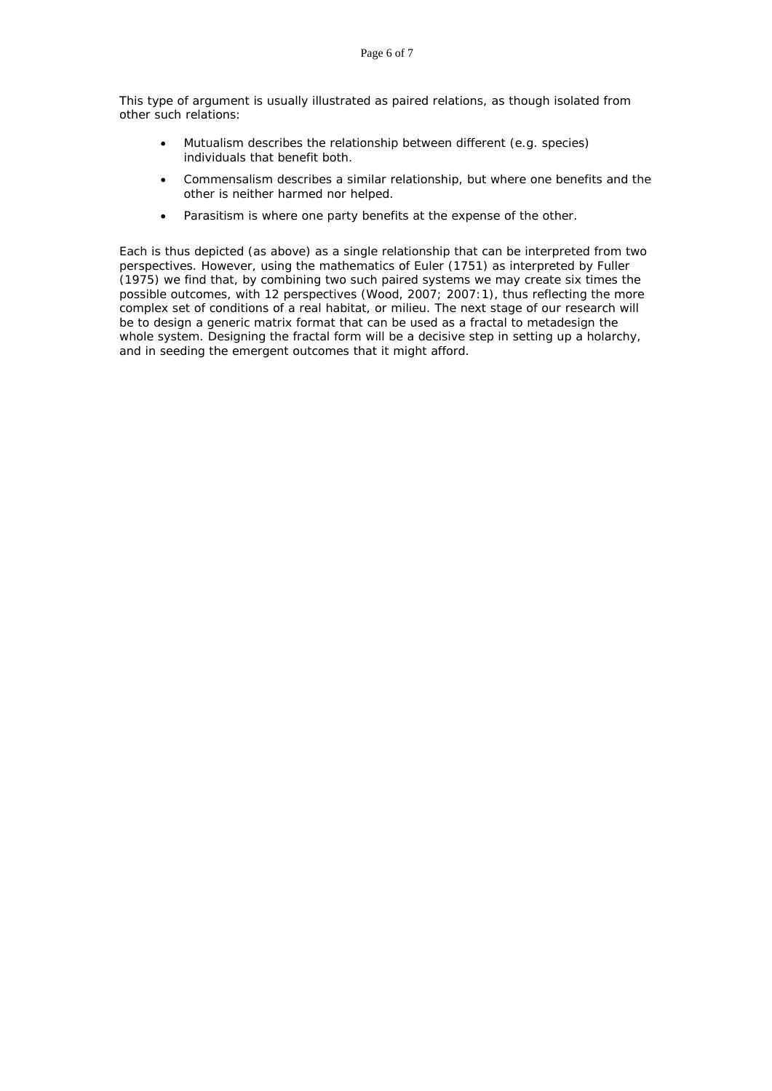This type of argument is usually illustrated as paired relations, as though isolated from other such relations:

- *Mutualism* describes the relationship between different (e.g. species) individuals that benefit both.
- *Commensalism* describes a similar relationship, but where one benefits and the other is neither harmed nor helped.
- *Parasitism* is where one party benefits at the expense of the other.

Each is thus depicted (as above) as a single relationship that can be interpreted from two perspectives. However, using the mathematics of Euler (1751) as interpreted by Fuller (1975) we find that, by combining two such paired systems we may create six times the possible outcomes, with 12 perspectives (Wood, 2007; 2007:1), thus reflecting the more complex set of conditions of a real habitat, or milieu. The next stage of our research will be to design a generic matrix format that can be used as a fractal to metadesign the whole system. Designing the fractal form will be a decisive step in setting up a holarchy, and in seeding the emergent outcomes that it might afford.